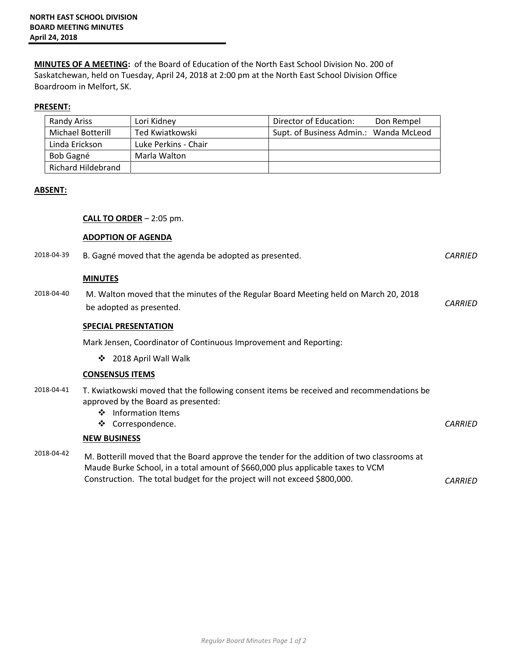**MINUTES OF A MEETING:** of the Board of Education of the North East School Division No. 200 of Saskatchewan, held on Tuesday, April 24, 2018 at 2:00 pm at the North East School Division Office Boardroom in Melfort, SK.

## **PRESENT:**

| <b>Randy Ariss</b> | Lori Kidney          | Director of Education:                 | Don Rempel |
|--------------------|----------------------|----------------------------------------|------------|
| Michael Botterill  | Ted Kwiatkowski      | Supt. of Business Admin.: Wanda McLeod |            |
| Linda Erickson     | Luke Perkins - Chair |                                        |            |
| Bob Gagné          | Marla Walton         |                                        |            |
| Richard Hildebrand |                      |                                        |            |

## **ABSENT:**

## **CALL TO ORDER** – 2:05 pm.

## **ADOPTION OF AGENDA**

| 2018-04-39 | B. Gagné moved that the agenda be adopted as presented.                                                                                                                                                                                                    | <b>CARRIED</b> |
|------------|------------------------------------------------------------------------------------------------------------------------------------------------------------------------------------------------------------------------------------------------------------|----------------|
| 2018-04-40 | <b>MINUTES</b><br>M. Walton moved that the minutes of the Regular Board Meeting held on March 20, 2018                                                                                                                                                     | <b>CARRIED</b> |
|            | be adopted as presented.<br><b>SPECIAL PRESENTATION</b>                                                                                                                                                                                                    |                |
|            | Mark Jensen, Coordinator of Continuous Improvement and Reporting:                                                                                                                                                                                          |                |
|            | 2018 April Wall Walk<br>❖                                                                                                                                                                                                                                  |                |
|            | <b>CONSENSUS ITEMS</b>                                                                                                                                                                                                                                     |                |
| 2018-04-41 | T. Kwiatkowski moved that the following consent items be received and recommendations be<br>approved by the Board as presented:<br>❖ Information Items<br>❖<br>Correspondence.                                                                             | <b>CARRIED</b> |
|            | <b>NEW BUSINESS</b>                                                                                                                                                                                                                                        |                |
| 2018-04-42 | M. Botterill moved that the Board approve the tender for the addition of two classrooms at<br>Maude Burke School, in a total amount of \$660,000 plus applicable taxes to VCM<br>Construction. The total budget for the project will not exceed \$800,000. | <b>CARRIED</b> |